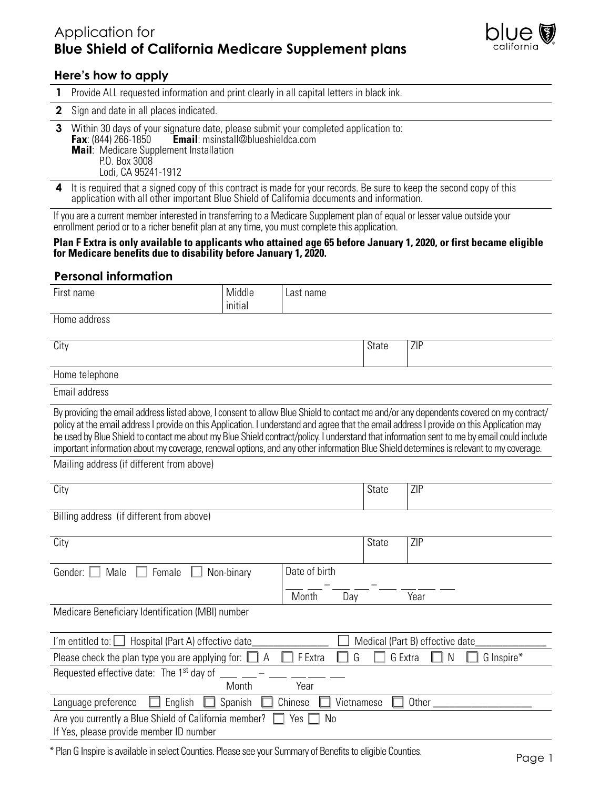# Application for **Blue Shield of California Medicare Supplement plans**



### **Here's how to apply**

- **1** Provide ALL requested information and print clearly in all capital letters in black ink.
- **2** Sign and date in all places indicated.
- **3** Within 30 days of your signature date, please submit your completed application to:<br>**Fax**: (844) 266-1850 **Email**: msinstall@blueshieldca.com **Email:** msinstall@blueshieldca.com **Mail**: Medicare Supplement Installation P.O. Box 3008 Lodi, CA 95241-1912
- **4** It is required that a signed copy of this contract is made for your records. Be sure to keep the second copy of this application with all other important Blue Shield of California documents and information.

If you are a current member interested in transferring to a Medicare Supplement plan of equal or lesser value outside your enrollment period or to a richer benefit plan at any time, you must complete this application.

#### **Plan F Extra is only available to applicants who attained age 65 before January 1, 2020, or first became eligible for Medicare benefits due to disability before January 1, 2020.**

#### **Personal information**

| First name                                                                                                                                                                                                                                                                                                                                                                                                                                                                                                                                                                    | Middle     | Last name             |              |                                 |
|-------------------------------------------------------------------------------------------------------------------------------------------------------------------------------------------------------------------------------------------------------------------------------------------------------------------------------------------------------------------------------------------------------------------------------------------------------------------------------------------------------------------------------------------------------------------------------|------------|-----------------------|--------------|---------------------------------|
|                                                                                                                                                                                                                                                                                                                                                                                                                                                                                                                                                                               | initial    |                       |              |                                 |
| Home address                                                                                                                                                                                                                                                                                                                                                                                                                                                                                                                                                                  |            |                       |              |                                 |
| City                                                                                                                                                                                                                                                                                                                                                                                                                                                                                                                                                                          |            |                       | <b>State</b> | ZIP                             |
| Home telephone                                                                                                                                                                                                                                                                                                                                                                                                                                                                                                                                                                |            |                       |              |                                 |
| Email address                                                                                                                                                                                                                                                                                                                                                                                                                                                                                                                                                                 |            |                       |              |                                 |
| By providing the email address listed above, I consent to allow Blue Shield to contact me and/or any dependents covered on my contract/<br>policy at the email address I provide on this Application. I understand and agree that the email address I provide on this Application may<br>be used by Blue Shield to contact me about my Blue Shield contract/policy. I understand that information sent to me by email could include<br>important information about my coverage, renewal options, and any other information Blue Shield determines is relevant to my coverage. |            |                       |              |                                 |
| Mailing address (if different from above)                                                                                                                                                                                                                                                                                                                                                                                                                                                                                                                                     |            |                       |              |                                 |
| City                                                                                                                                                                                                                                                                                                                                                                                                                                                                                                                                                                          |            |                       | <b>State</b> | ZIP                             |
| Billing address (if different from above)                                                                                                                                                                                                                                                                                                                                                                                                                                                                                                                                     |            |                       |              |                                 |
| City                                                                                                                                                                                                                                                                                                                                                                                                                                                                                                                                                                          |            |                       | <b>State</b> | $\overline{ZIP}$                |
| Gender:<br>Male<br>Female                                                                                                                                                                                                                                                                                                                                                                                                                                                                                                                                                     | Non-binary | Date of birth         |              |                                 |
|                                                                                                                                                                                                                                                                                                                                                                                                                                                                                                                                                                               |            | Month<br>Day          |              | Year                            |
| Medicare Beneficiary Identification (MBI) number                                                                                                                                                                                                                                                                                                                                                                                                                                                                                                                              |            |                       |              |                                 |
| I'm entitled to: $\vert \ \vert$<br>Hospital (Part A) effective date                                                                                                                                                                                                                                                                                                                                                                                                                                                                                                          |            |                       |              | Medical (Part B) effective date |
| Please check the plan type you are applying for: $\parallel$                                                                                                                                                                                                                                                                                                                                                                                                                                                                                                                  | I A        | F Extra<br>G          | G Extra      | G Inspire*<br>N                 |
| Requested effective date: The 1 <sup>st</sup> day of                                                                                                                                                                                                                                                                                                                                                                                                                                                                                                                          | Month      | Year                  |              |                                 |
| Language preference<br>English                                                                                                                                                                                                                                                                                                                                                                                                                                                                                                                                                | Spanish    | Chinese<br>Vietnamese |              | Other                           |
| Are you currently a Blue Shield of California member?<br>Yes<br>N <sub>0</sub><br>If Yes, please provide member ID number                                                                                                                                                                                                                                                                                                                                                                                                                                                     |            |                       |              |                                 |

\* Plan G Inspire is available in select Counties. Please see your Summary of Benefits to eligible Counties.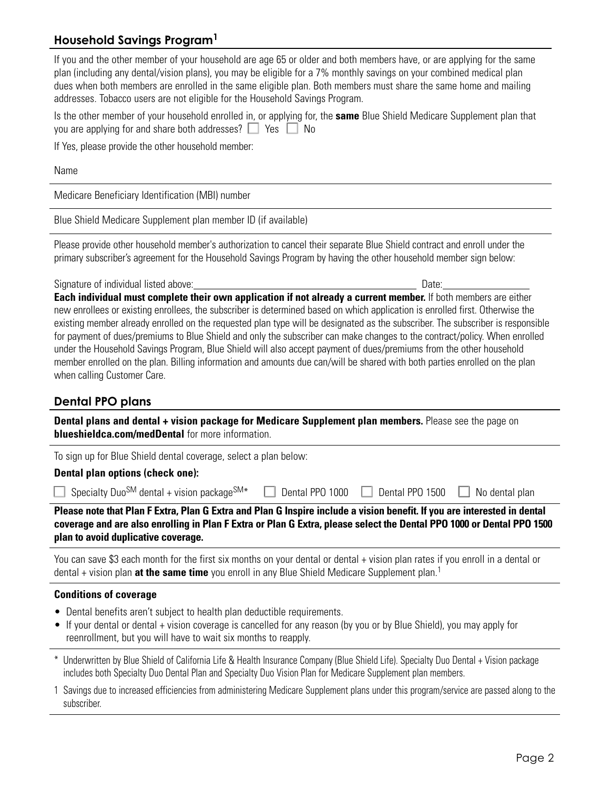### **Household Savings Program1**

If you and the other member of your household are age 65 or older and both members have, or are applying for the same plan (including any dental/vision plans), you may be eligible for a 7% monthly savings on your combined medical plan dues when both members are enrolled in the same eligible plan. Both members must share the same home and mailing addresses. Tobacco users are not eligible for the Household Savings Program.

Is the other member of your household enrolled in, or applying for, the **same** Blue Shield Medicare Supplement plan that you are applying for and share both addresses?  $\Box$  Yes  $\Box$  No

If Yes, please provide the other household member:

Name

Medicare Beneficiary Identification (MBI) number

Blue Shield Medicare Supplement plan member ID (if available)

Please provide other household member's authorization to cancel their separate Blue Shield contract and enroll under the primary subscriber's agreement for the Household Savings Program by having the other household member sign below:

Signature of individual listed above: Date: Date: Date: Date: Date: Date: Date: Date: Date: Date: Date: Date: Date: Date: Date: Date: Date: Date: Date: Date: Date: Date: Date: Date: Date: Date: Date: Date: Date: Date: Date

**Each individual must complete their own application if not already a current member.** If both members are either new enrollees or existing enrollees, the subscriber is determined based on which application is enrolled first. Otherwise the existing member already enrolled on the requested plan type will be designated as the subscriber. The subscriber is responsible for payment of dues/premiums to Blue Shield and only the subscriber can make changes to the contract/policy. When enrolled under the Household Savings Program, Blue Shield will also accept payment of dues/premiums from the other household member enrolled on the plan. Billing information and amounts due can/will be shared with both parties enrolled on the plan when calling Customer Care.

### **Dental PPO plans**

**Dental plans and dental + vision package for Medicare Supplement plan members.** Please see the page on **blueshieldca.com/medDental** for more information.

To sign up for Blue Shield dental coverage, select a plan below:

#### **Dental plan options (check one):**

Specialty Duo<sup>SM</sup> dental + vision package<sup>SM\*</sup>  $\Box$  Dental PPO 1000  $\Box$  Dental PPO 1500  $\Box$  No dental plan

**Please note that Plan F Extra, Plan G Extra and Plan G Inspire include a vision benefit. If you are interested in dental coverage and are also enrolling in Plan F Extra or Plan G Extra, please select the Dental PPO 1000 or Dental PPO 1500 plan to avoid duplicative coverage.**

You can save \$3 each month for the first six months on your dental or dental + vision plan rates if you enroll in a dental or dental + vision plan **at the same time** you enroll in any Blue Shield Medicare Supplement plan.<sup>1</sup>

#### **Conditions of coverage**

- Dental benefits aren't subject to health plan deductible requirements.
- If your dental or dental + vision coverage is cancelled for any reason (by you or by Blue Shield), you may apply for reenrollment, but you will have to wait six months to reapply.
- \* Underwritten by Blue Shield of California Life & Health Insurance Company (Blue Shield Life). Specialty Duo Dental + Vision package includes both Specialty Duo Dental Plan and Specialty Duo Vision Plan for Medicare Supplement plan members.
- 1 Savings due to increased efficiencies from administering Medicare Supplement plans under this program/service are passed along to the subscriber.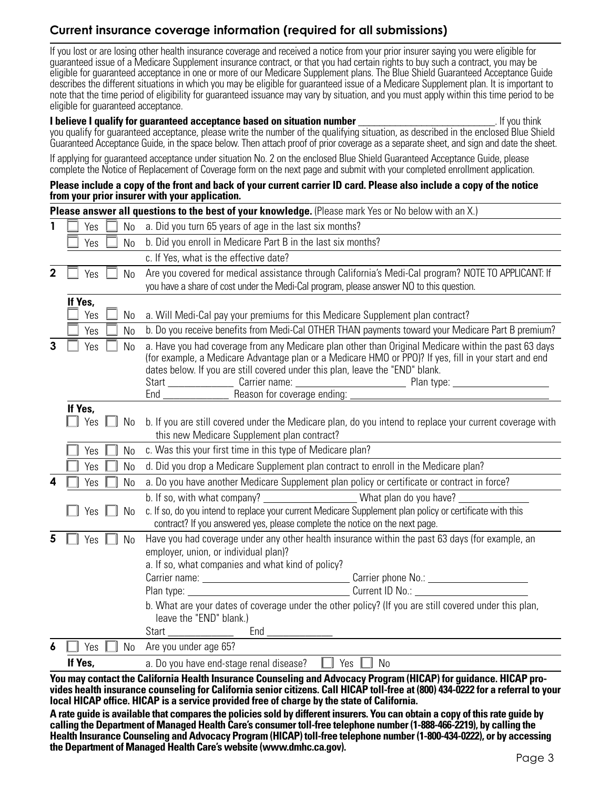# **Current insurance coverage information (required for all submissions)**

If you lost or are losing other health insurance coverage and received a notice from your prior insurer saying you were eligible for guaranteed issue of a Medicare Supplement insurance contract, or that you had certain rights to buy such a contract, you may be eligible for guaranteed acceptance in one or more of our Medicare Supplement plans. The Blue Shield Guaranteed Acceptance Guide describes the different situations in which you may be eligible for guaranteed issue of a Medicare Supplement plan. It is important to note that the time period of eligibility for guaranteed issuance may vary by situation, and you must apply within this time period to be eligible for guaranteed acceptance.

#### **I believe I qualify for quaranteed acceptance based on situation number and the set of the set of the set of the set of the set of the set of the set of the set of the set of the set of the set of the set of the set of** you qualify for guaranteed acceptance, please write the number of the qualifying situation, as described in the enclosed Blue Shield Guaranteed Acceptance Guide, in the space below. Then attach proof of prior coverage as a separate sheet, and sign and date the sheet.

If applying for guaranteed acceptance under situation No. 2 on the enclosed Blue Shield Guaranteed Acceptance Guide, please complete the Notice of Replacement of Coverage form on the next page and submit with your completed enrollment application.

#### **Please include a copy of the front and back of your current carrier ID card. Please also include a copy of the notice from your prior insurer with your application.**

|             |                       | <b>Please answer all questions to the best of your knowledge.</b> (Please mark Yes or No below with an X.)                                                                                                                                                                                     |  |  |
|-------------|-----------------------|------------------------------------------------------------------------------------------------------------------------------------------------------------------------------------------------------------------------------------------------------------------------------------------------|--|--|
|             | N <sub>0</sub><br>Yes | a. Did you turn 65 years of age in the last six months?                                                                                                                                                                                                                                        |  |  |
|             | N <sub>0</sub><br>Yes | b. Did you enroll in Medicare Part B in the last six months?                                                                                                                                                                                                                                   |  |  |
|             |                       | c. If Yes, what is the effective date?                                                                                                                                                                                                                                                         |  |  |
| $\mathbf 2$ | Yes<br>N <sub>0</sub> | Are you covered for medical assistance through California's Medi-Cal program? NOTE TO APPLICANT: If                                                                                                                                                                                            |  |  |
|             |                       | you have a share of cost under the Medi-Cal program, please answer NO to this question.                                                                                                                                                                                                        |  |  |
|             | If Yes,<br>Yes        |                                                                                                                                                                                                                                                                                                |  |  |
|             | No                    | a. Will Medi-Cal pay your premiums for this Medicare Supplement plan contract?                                                                                                                                                                                                                 |  |  |
|             | <b>No</b><br>Yes      | b. Do you receive benefits from Medi-Cal OTHER THAN payments toward your Medicare Part B premium?                                                                                                                                                                                              |  |  |
| 3           | Yes<br>No             | a. Have you had coverage from any Medicare plan other than Original Medicare within the past 63 days<br>(for example, a Medicare Advantage plan or a Medicare HMO or PPO)? If yes, fill in your start and end<br>dates below. If you are still covered under this plan, leave the "END" blank. |  |  |
|             |                       |                                                                                                                                                                                                                                                                                                |  |  |
|             | If Yes,<br>Yes<br>No  | b. If you are still covered under the Medicare plan, do you intend to replace your current coverage with<br>this new Medicare Supplement plan contract?                                                                                                                                        |  |  |
|             | Yes<br><b>No</b>      | c. Was this your first time in this type of Medicare plan?                                                                                                                                                                                                                                     |  |  |
|             | No<br>Yes             | d. Did you drop a Medicare Supplement plan contract to enroll in the Medicare plan?                                                                                                                                                                                                            |  |  |
| 4           | Yes<br>No             | a. Do you have another Medicare Supplement plan policy or certificate or contract in force?                                                                                                                                                                                                    |  |  |
|             |                       | b. If so, with what company? ________________________What plan do you have? _                                                                                                                                                                                                                  |  |  |
|             | <b>No</b><br>Yes      | c. If so, do you intend to replace your current Medicare Supplement plan policy or certificate with this<br>contract? If you answered yes, please complete the notice on the next page.                                                                                                        |  |  |
| 5           | <b>No</b><br>Yes      | Have you had coverage under any other health insurance within the past 63 days (for example, an<br>employer, union, or individual plan)?<br>a. If so, what companies and what kind of policy?                                                                                                  |  |  |
|             |                       |                                                                                                                                                                                                                                                                                                |  |  |
|             |                       |                                                                                                                                                                                                                                                                                                |  |  |
|             |                       | b. What are your dates of coverage under the other policy? (If you are still covered under this plan,<br>leave the "END" blank.)                                                                                                                                                               |  |  |
|             |                       | Start ______________                                                                                                                                                                                                                                                                           |  |  |
| 6           | <b>No</b><br>Yes      | Are you under age 65?                                                                                                                                                                                                                                                                          |  |  |
|             | If Yes,               | a. Do you have end-stage renal disease?<br><b>No</b><br>Yes                                                                                                                                                                                                                                    |  |  |
|             |                       |                                                                                                                                                                                                                                                                                                |  |  |

**You may contact the California Health Insurance Counseling and Advocacy Program (HICAP) for guidance. HICAP provides health insurance counseling for California senior citizens. Call HICAP toll-free at (800) 434-0222 for a referral to your local HICAP office. HICAP is a service provided free of charge by the state of California.**

**A rate guide is available that compares the policies sold by different insurers. You can obtain a copy of this rate guide by calling the Department of Managed Health Care's consumer toll-free telephone number (1-888-466-2219), by calling the Health Insurance Counseling and Advocacy Program (HICAP) toll-free telephone number (1-800-434-0222), or by accessing the Department of Managed Health Care's website (www.dmhc.ca.gov).**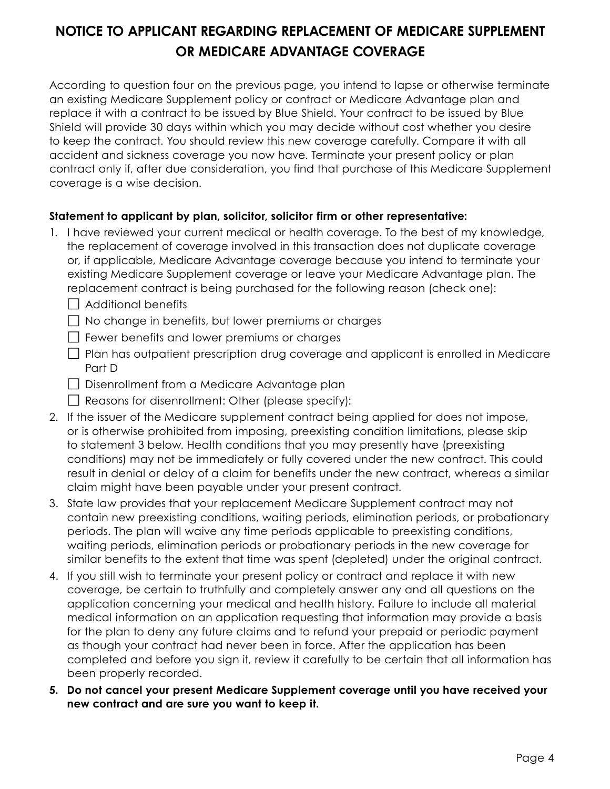# **NOTICE TO APPLICANT REGARDING REPLACEMENT OF MEDICARE SUPPLEMENT OR MEDICARE ADVANTAGE COVERAGE**

According to question four on the previous page, you intend to lapse or otherwise terminate an existing Medicare Supplement policy or contract or Medicare Advantage plan and replace it with a contract to be issued by Blue Shield. Your contract to be issued by Blue Shield will provide 30 days within which you may decide without cost whether you desire to keep the contract. You should review this new coverage carefully. Compare it with all accident and sickness coverage you now have. Terminate your present policy or plan contract only if, after due consideration, you find that purchase of this Medicare Supplement coverage is a wise decision.

### **Statement to applicant by plan, solicitor, solicitor firm or other representative:**

- 1. I have reviewed your current medical or health coverage. To the best of my knowledge, the replacement of coverage involved in this transaction does not duplicate coverage or, if applicable, Medicare Advantage coverage because you intend to terminate your existing Medicare Supplement coverage or leave your Medicare Advantage plan. The replacement contract is being purchased for the following reason (check one):
	- $\Box$  Additional benefits
	- $\Box$  No change in benefits, but lower premiums or charges
	- $\Box$  Fewer benefits and lower premiums or charges
	- $\Box$  Plan has outpatient prescription drug coverage and applicant is enrolled in Medicare Part D
	- $\Box$  Disenrollment from a Medicare Advantage plan
	- $\Box$  Reasons for disenrollment: Other (please specify):
- 2. If the issuer of the Medicare supplement contract being applied for does not impose, or is otherwise prohibited from imposing, preexisting condition limitations, please skip to statement 3 below. Health conditions that you may presently have (preexisting conditions) may not be immediately or fully covered under the new contract. This could result in denial or delay of a claim for benefits under the new contract, whereas a similar claim might have been payable under your present contract.
- 3. State law provides that your replacement Medicare Supplement contract may not contain new preexisting conditions, waiting periods, elimination periods, or probationary periods. The plan will waive any time periods applicable to preexisting conditions, waiting periods, elimination periods or probationary periods in the new coverage for similar benefits to the extent that time was spent (depleted) under the original contract.
- 4. If you still wish to terminate your present policy or contract and replace it with new coverage, be certain to truthfully and completely answer any and all questions on the application concerning your medical and health history. Failure to include all material medical information on an application requesting that information may provide a basis for the plan to deny any future claims and to refund your prepaid or periodic payment as though your contract had never been in force. After the application has been completed and before you sign it, review it carefully to be certain that all information has been properly recorded.
- **5. Do not cancel your present Medicare Supplement coverage until you have received your new contract and are sure you want to keep it.**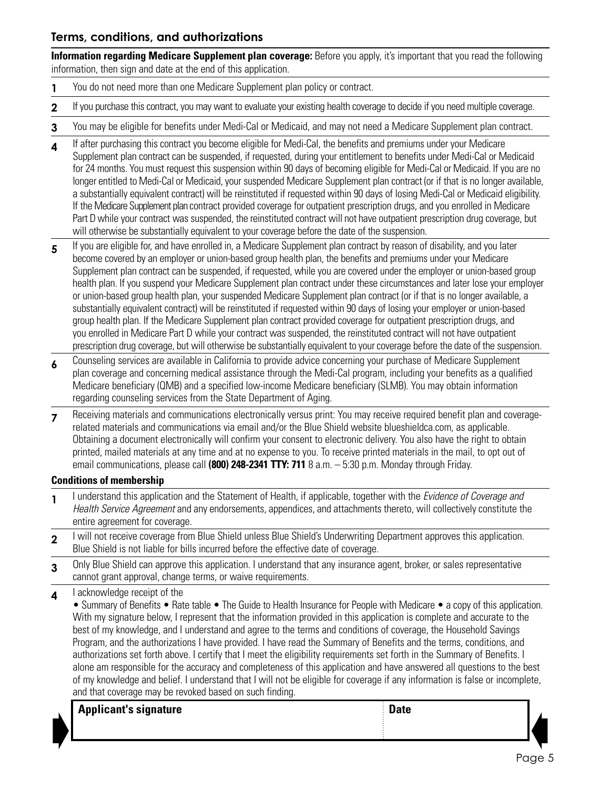### **Terms, conditions, and authorizations**

**Information regarding Medicare Supplement plan coverage:** Before you apply, it's important that you read the following information, then sign and date at the end of this application.

- **1** You do not need more than one Medicare Supplement plan policy or contract.
- **2** If you purchase this contract, you may want to evaluate your existing health coverage to decide if you need multiple coverage.
- **3** You may be eligible for benefits under Medi-Cal or Medicaid, and may not need a Medicare Supplement plan contract.
- **4** If after purchasing this contract you become eligible for Medi-Cal, the benefits and premiums under your Medicare Supplement plan contract can be suspended, if requested, during your entitlement to benefits under Medi-Cal or Medicaid for 24 months. You must request this suspension within 90 days of becoming eligible for Medi-Cal or Medicaid. If you are no longer entitled to Medi-Cal or Medicaid, your suspended Medicare Supplement plan contract (or if that is no longer available, a substantially equivalent contract) will be reinstituted if requested within 90 days of losing Medi-Cal or Medicaid eligibility. If the Medicare Supplement plan contract provided coverage for outpatient prescription drugs, and you enrolled in Medicare Part D while your contract was suspended, the reinstituted contract will not have outpatient prescription drug coverage, but will otherwise be substantially equivalent to your coverage before the date of the suspension.
- 5 If you are eligible for, and have enrolled in, a Medicare Supplement plan contract by reason of disability, and you later become covered by an employer or union-based group health plan, the benefits and premiums under your Medicare Supplement plan contract can be suspended, if requested, while you are covered under the employer or union-based group health plan. If you suspend your Medicare Supplement plan contract under these circumstances and later lose your employer or union-based group health plan, your suspended Medicare Supplement plan contract (or if that is no longer available, a substantially equivalent contract) will be reinstituted if requested within 90 days of losing your employer or union-based group health plan. If the Medicare Supplement plan contract provided coverage for outpatient prescription drugs, and you enrolled in Medicare Part D while your contract was suspended, the reinstituted contract will not have outpatient prescription drug coverage, but will otherwise be substantially equivalent to your coverage before the date of the suspension.
- **6** Counseling services are available in California to provide advice concerning your purchase of Medicare Supplement plan coverage and concerning medical assistance through the Medi-Cal program, including your benefits as a qualified Medicare beneficiary (QMB) and a specified low-income Medicare beneficiary (SLMB). You may obtain information regarding counseling services from the State Department of Aging.
- **7** Receiving materials and communications electronically versus print: You may receive required benefit plan and coveragerelated materials and communications via email and/or the Blue Shield website blueshieldca.com, as applicable. Obtaining a document electronically will confirm your consent to electronic delivery. You also have the right to obtain printed, mailed materials at any time and at no expense to you. To receive printed materials in the mail, to opt out of email communications, please call **(800) 248-2341 TTY: 711** 8 a.m. – 5:30 p.m. Monday through Friday.

#### **Conditions of membership**

- **1** I understand this application and the Statement of Health, if applicable, together with the *Evidence of Coverage and Health Service Agreement* and any endorsements, appendices, and attachments thereto, will collectively constitute the entire agreement for coverage.
- 2 I will not receive coverage from Blue Shield unless Blue Shield's Underwriting Department approves this application. Blue Shield is not liable for bills incurred before the effective date of coverage.
- **3** Only Blue Shield can approve this application. I understand that any insurance agent, broker, or sales representative cannot grant approval, change terms, or waive requirements.

### **4** I acknowledge receipt of the

• Summary of Benefits • Rate table • The Guide to Health Insurance for People with Medicare • a copy of this application. With my signature below, I represent that the information provided in this application is complete and accurate to the best of my knowledge, and I understand and agree to the terms and conditions of coverage, the Household Savings Program, and the authorizations I have provided. I have read the Summary of Benefits and the terms, conditions, and authorizations set forth above. I certify that I meet the eligibility requirements set forth in the Summary of Benefits. I alone am responsible for the accuracy and completeness of this application and have answered all questions to the best of my knowledge and belief. I understand that I will not be eligible for coverage if any information is false or incomplete, and that coverage may be revoked based on such finding.

| Appl |
|------|
|      |

**Applicant's signature Contract Contract Contract Contract Contract Contract Contract Contract Contract Contract Contract Contract Contract Contract Contract Contract Contract Contract Contract Contract Contract Contract** 

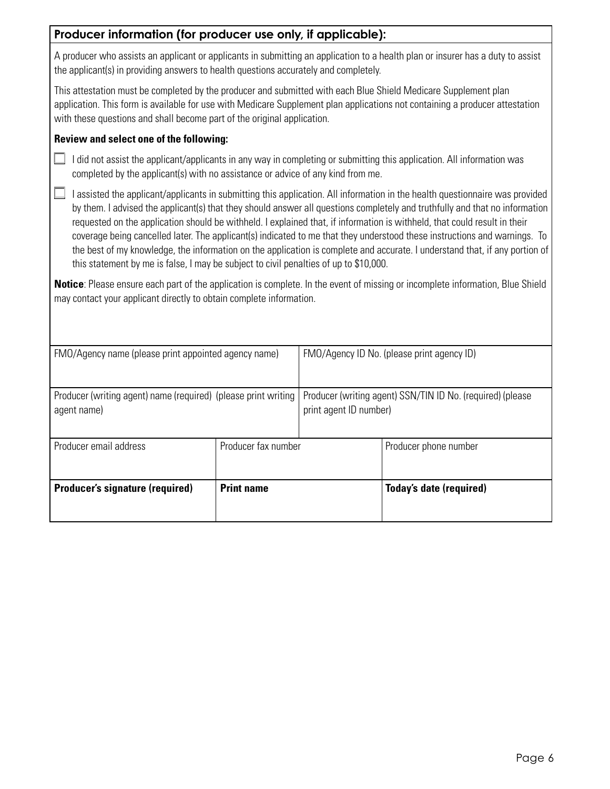| Producer information (for producer use only, if applicable):                                                                                                                                                                                                                                                                                                                                                                                                                                                                                                                                                                                                                                                                                  |                     |                                                                                      |                                                                                                                                 |
|-----------------------------------------------------------------------------------------------------------------------------------------------------------------------------------------------------------------------------------------------------------------------------------------------------------------------------------------------------------------------------------------------------------------------------------------------------------------------------------------------------------------------------------------------------------------------------------------------------------------------------------------------------------------------------------------------------------------------------------------------|---------------------|--------------------------------------------------------------------------------------|---------------------------------------------------------------------------------------------------------------------------------|
| the applicant(s) in providing answers to health questions accurately and completely.                                                                                                                                                                                                                                                                                                                                                                                                                                                                                                                                                                                                                                                          |                     |                                                                                      | A producer who assists an applicant or applicants in submitting an application to a health plan or insurer has a duty to assist |
| This attestation must be completed by the producer and submitted with each Blue Shield Medicare Supplement plan<br>application. This form is available for use with Medicare Supplement plan applications not containing a producer attestation<br>with these questions and shall become part of the original application.                                                                                                                                                                                                                                                                                                                                                                                                                    |                     |                                                                                      |                                                                                                                                 |
| Review and select one of the following:                                                                                                                                                                                                                                                                                                                                                                                                                                                                                                                                                                                                                                                                                                       |                     |                                                                                      |                                                                                                                                 |
| I did not assist the applicant/applicants in any way in completing or submitting this application. All information was<br>completed by the applicant(s) with no assistance or advice of any kind from me.                                                                                                                                                                                                                                                                                                                                                                                                                                                                                                                                     |                     |                                                                                      |                                                                                                                                 |
| I assisted the applicant/applicants in submitting this application. All information in the health questionnaire was provided<br>by them. I advised the applicant(s) that they should answer all questions completely and truthfully and that no information<br>requested on the application should be withheld. I explained that, if information is withheld, that could result in their<br>coverage being cancelled later. The applicant(s) indicated to me that they understood these instructions and warnings. To<br>the best of my knowledge, the information on the application is complete and accurate. I understand that, if any portion of<br>this statement by me is false, I may be subject to civil penalties of up to \$10,000. |                     |                                                                                      |                                                                                                                                 |
| <b>Notice:</b> Please ensure each part of the application is complete. In the event of missing or incomplete information, Blue Shield<br>may contact your applicant directly to obtain complete information.                                                                                                                                                                                                                                                                                                                                                                                                                                                                                                                                  |                     |                                                                                      |                                                                                                                                 |
| FMO/Agency name (please print appointed agency name)                                                                                                                                                                                                                                                                                                                                                                                                                                                                                                                                                                                                                                                                                          |                     |                                                                                      | FMO/Agency ID No. (please print agency ID)                                                                                      |
| Producer (writing agent) name (required) (please print writing<br>agent name)                                                                                                                                                                                                                                                                                                                                                                                                                                                                                                                                                                                                                                                                 |                     | Producer (writing agent) SSN/TIN ID No. (required) (please<br>print agent ID number) |                                                                                                                                 |
| Producer email address                                                                                                                                                                                                                                                                                                                                                                                                                                                                                                                                                                                                                                                                                                                        | Producer fax number |                                                                                      | Producer phone number                                                                                                           |
| <b>Producer's signature (required)</b>                                                                                                                                                                                                                                                                                                                                                                                                                                                                                                                                                                                                                                                                                                        | <b>Print name</b>   |                                                                                      | <b>Today's date (required)</b>                                                                                                  |
|                                                                                                                                                                                                                                                                                                                                                                                                                                                                                                                                                                                                                                                                                                                                               |                     |                                                                                      |                                                                                                                                 |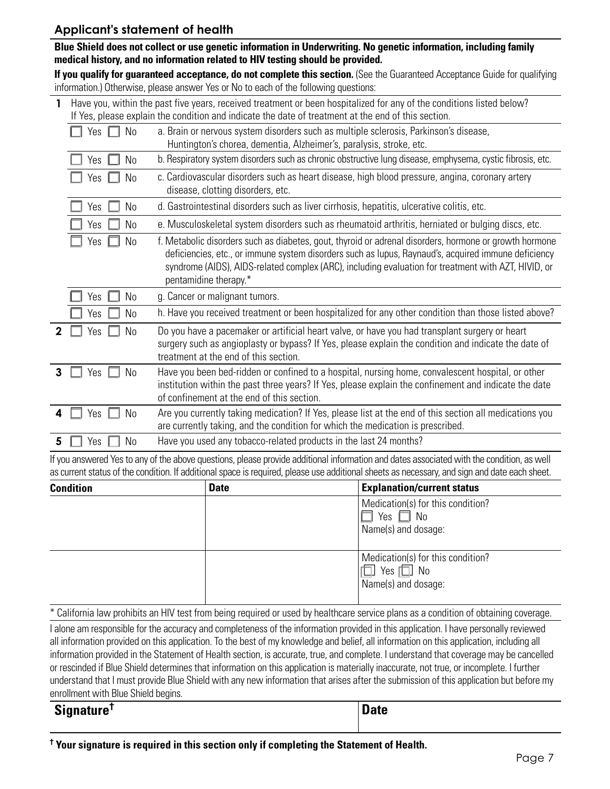### **Applicant's statement of health**

**Blue Shield does not collect or use genetic information in Underwriting. No genetic information, including family medical history, and no information related to HIV testing should be provided.** 

**If you qualify for guaranteed acceptance, do not complete this section.** (See the Guaranteed Acceptance Guide for qualifying information.) Otherwise, please answer Yes or No to each of the following questions:

|   | Have you, within the past five years, received treatment or been hospitalized for any of the conditions listed below?<br>If Yes, please explain the condition and indicate the date of treatment at the end of this section. |                                                                                                                                                                                                                                                                                                                                               |  |  |  |
|---|------------------------------------------------------------------------------------------------------------------------------------------------------------------------------------------------------------------------------|-----------------------------------------------------------------------------------------------------------------------------------------------------------------------------------------------------------------------------------------------------------------------------------------------------------------------------------------------|--|--|--|
|   | No<br>Yes                                                                                                                                                                                                                    | a. Brain or nervous system disorders such as multiple sclerosis, Parkinson's disease,<br>Huntington's chorea, dementia, Alzheimer's, paralysis, stroke, etc.                                                                                                                                                                                  |  |  |  |
|   | No<br>Yes                                                                                                                                                                                                                    | b. Respiratory system disorders such as chronic obstructive lung disease, emphysema, cystic fibrosis, etc.                                                                                                                                                                                                                                    |  |  |  |
|   | No<br>Yes                                                                                                                                                                                                                    | c. Cardiovascular disorders such as heart disease, high blood pressure, angina, coronary artery<br>disease, clotting disorders, etc.                                                                                                                                                                                                          |  |  |  |
|   | No<br>Yes                                                                                                                                                                                                                    | d. Gastrointestinal disorders such as liver cirrhosis, hepatitis, ulcerative colitis, etc.                                                                                                                                                                                                                                                    |  |  |  |
|   | No<br>Yes                                                                                                                                                                                                                    | e. Musculoskeletal system disorders such as rheumatoid arthritis, herniated or bulging discs, etc.                                                                                                                                                                                                                                            |  |  |  |
|   | No<br>Yes                                                                                                                                                                                                                    | f. Metabolic disorders such as diabetes, gout, thyroid or adrenal disorders, hormone or growth hormone<br>deficiencies, etc., or immune system disorders such as lupus, Raynaud's, acquired immune deficiency<br>syndrome (AIDS), AIDS-related complex (ARC), including evaluation for treatment with AZT, HIVID, or<br>pentamidine therapy.* |  |  |  |
|   | No<br>Yes                                                                                                                                                                                                                    | g. Cancer or malignant tumors.                                                                                                                                                                                                                                                                                                                |  |  |  |
|   | N <sub>0</sub><br>Yes                                                                                                                                                                                                        | h. Have you received treatment or been hospitalized for any other condition than those listed above?                                                                                                                                                                                                                                          |  |  |  |
|   | No<br>Yes                                                                                                                                                                                                                    | Do you have a pacemaker or artificial heart valve, or have you had transplant surgery or heart<br>surgery such as angioplasty or bypass? If Yes, please explain the condition and indicate the date of<br>treatment at the end of this section.                                                                                               |  |  |  |
| 3 | No<br>Yes                                                                                                                                                                                                                    | Have you been bed-ridden or confined to a hospital, nursing home, convalescent hospital, or other<br>institution within the past three years? If Yes, please explain the confinement and indicate the date<br>of confinement at the end of this section.                                                                                      |  |  |  |
|   | N <sub>0</sub><br>Yes                                                                                                                                                                                                        | Are you currently taking medication? If Yes, please list at the end of this section all medications you<br>are currently taking, and the condition for which the medication is prescribed.                                                                                                                                                    |  |  |  |
| 5 | N <sub>0</sub><br>Yes                                                                                                                                                                                                        | Have you used any tobacco-related products in the last 24 months?                                                                                                                                                                                                                                                                             |  |  |  |

If you answered Yes to any of the above questions, please provide additional information and dates associated with the condition, as well as current status of the condition. If additional space is required, please use additional sheets as necessary, and sign and date each sheet.

| <b>Condition</b> | <b>Date</b> | <b>Explanation/current status</b>                                                |
|------------------|-------------|----------------------------------------------------------------------------------|
|                  |             | Medication(s) for this condition?<br>$\mid$ Yes $\Box$ No<br>Name(s) and dosage: |
|                  |             | Medication(s) for this condition?<br>$\Box$ Yes $\Box$ No<br>Name(s) and dosage: |

\* California law prohibits an HIV test from being required or used by healthcare service plans as a condition of obtaining coverage.

I alone am responsible for the accuracy and completeness of the information provided in this application. I have personally reviewed all information provided on this application. To the best of my knowledge and belief, all information on this application, including all information provided in the Statement of Health section, is accurate, true, and complete. I understand that coverage may be cancelled or rescinded if Blue Shield determines that information on this application is materially inaccurate, not true, or incomplete. I further understand that I must provide Blue Shield with any new information that arises after the submission of this application but before my enrollment with Blue Shield begins.

**Signature† Date**

**† Your signature is required in this section only if completing the Statement of Health.**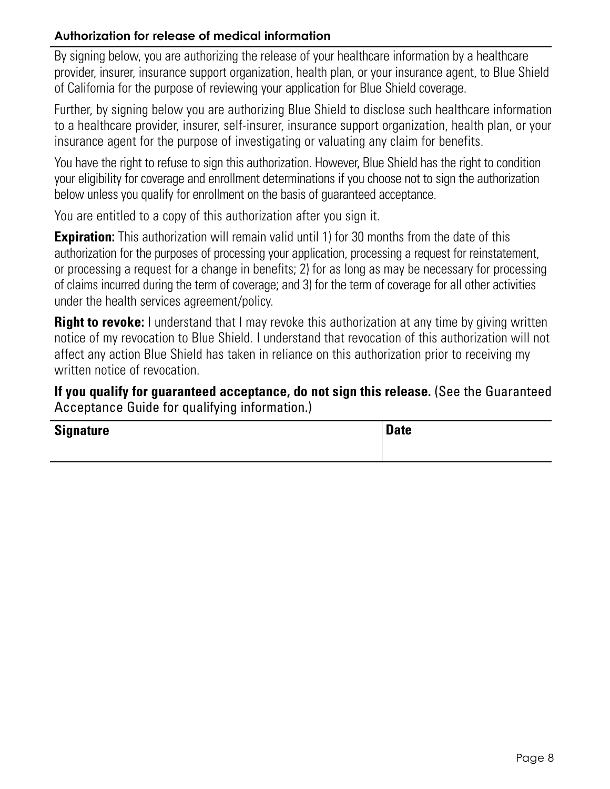# **Authorization for release of medical information**

By signing below, you are authorizing the release of your healthcare information by a healthcare provider, insurer, insurance support organization, health plan, or your insurance agent, to Blue Shield of California for the purpose of reviewing your application for Blue Shield coverage.

Further, by signing below you are authorizing Blue Shield to disclose such healthcare information to a healthcare provider, insurer, self-insurer, insurance support organization, health plan, or your insurance agent for the purpose of investigating or valuating any claim for benefits.

You have the right to refuse to sign this authorization. However, Blue Shield has the right to condition your eligibility for coverage and enrollment determinations if you choose not to sign the authorization below unless you qualify for enrollment on the basis of guaranteed acceptance.

You are entitled to a copy of this authorization after you sign it.

**Expiration:** This authorization will remain valid until 1) for 30 months from the date of this authorization for the purposes of processing your application, processing a request for reinstatement, or processing a request for a change in benefits; 2) for as long as may be necessary for processing of claims incurred during the term of coverage; and 3) for the term of coverage for all other activities under the health services agreement/policy.

**Right to revoke:** I understand that I may revoke this authorization at any time by giving written notice of my revocation to Blue Shield. I understand that revocation of this authorization will not affect any action Blue Shield has taken in reliance on this authorization prior to receiving my written notice of revocation.

**If you qualify for guaranteed acceptance, do not sign this release.** (See the Guaranteed Acceptance Guide for qualifying information.)

| <b>Signature</b> | <b>Date</b> |
|------------------|-------------|
|                  |             |